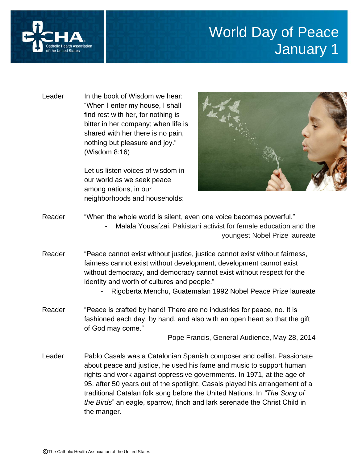

## World Day of Peace January 1

Leader In the book of Wisdom we hear: "When I enter my house, I shall find rest with her, for nothing is bitter in her company; when life is shared with her there is no pain, nothing but pleasure and joy." (Wisdom 8:16)

> Let us listen voices of wisdom in our world as we seek peace among nations, in our neighborhoods and households:



- Reader "When the whole world is silent, even one voice becomes powerful." Malala Yousafzai, Pakistani activist for female education and the youngest Nobel Prize laureate
- Reader "Peace cannot exist without justice, justice cannot exist without fairness, fairness cannot exist without development, development cannot exist without democracy, and democracy cannot exist without respect for the identity and worth of cultures and people."
	- Rigoberta Menchu, Guatemalan 1992 Nobel Peace Prize laureate
- Reader "Peace is crafted by hand! There are no industries for peace, no. It is fashioned each day, by hand, and also with an open heart so that the gift of God may come."

Pope Francis, General Audience, May 28, 2014

Leader Pablo Casals was a Catalonian Spanish composer and cellist. Passionate about peace and justice, he used his fame and music to support human rights and work against oppressive governments. In 1971, at the age of 95, after 50 years out of the spotlight, Casals played his arrangement of a traditional Catalan folk song before the United Nations. In *"The Song of the Birds*" an eagle, sparrow, finch and lark serenade the Christ Child in the manger.